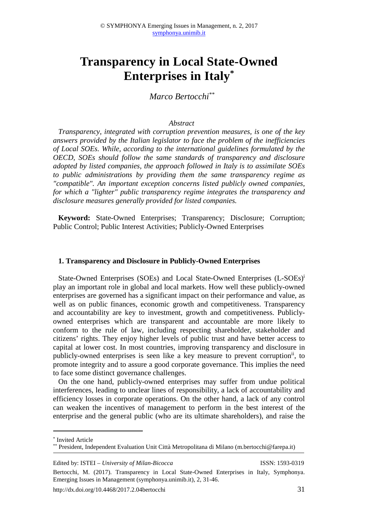# **Transparency in Local State-Owned Enterprises in Italy\***

 *Marco Bertocchi\*\**

#### *Abstract*

*Transparency, integrated with corruption prevention measures, is one of the key answers provided by the Italian legislator to face the problem of the inefficiencies of Local SOEs. While, according to the international guidelines formulated by the OECD, SOEs should follow the same standards of transparency and disclosure adopted by listed companies, the approach followed in Italy is to assimilate SOEs to public administrations by providing them the same transparency regime as "compatible". An important exception concerns listed publicly owned companies, for which a "lighter" public transparency regime integrates the transparency and disclosure measures generally provided for listed companies.* 

**Keyword:** State-Owned Enterprises; Transparency; Disclosure; Corruption; Public Control; Public Interest Activities; Publicly-Owned Enterprises

#### **1. Transparency and Disclosure in Publicly-Owned Enterprises**

State-Owned Enterprises (SOEs) and Local State-Owned Enterprises (L-SOEs)<sup>i</sup> play an important role in global and local markets. How well these publicly-owned enterprises are governed has a significant impact on their performance and value, as well as on public finances, economic growth and competitiveness. Transparency and accountability are key to investment, growth and competitiveness. Publiclyowned enterprises which are transparent and accountable are more likely to conform to the rule of law, including respecting shareholder, stakeholder and citizens' rights. They enjoy higher levels of public trust and have better access to capital at lower cost. In most countries, improving transparency and disclosure in publicly-owned enterprises is seen like a key measure to prevent corruptionii, to promote integrity and to assure a good corporate governance. This implies the need to face some distinct governance challenges.

On the one hand, publicly-owned enterprises may suffer from undue political interferences, leading to unclear lines of responsibility, a lack of accountability and efficiency losses in corporate operations. On the other hand, a lack of any control can weaken the incentives of management to perform in the best interest of the enterprise and the general public (who are its ultimate shareholders), and raise the

l

<sup>\*</sup> Invited Article

<sup>\*\*</sup> President, Independent Evaluation Unit Città Metropolitana di Milano (m.bertocchi@farepa.it)

Edited by: ISTEI – *University of Milan-Bicocca* ISSN: 1593-0319

Bertocchi, M. (2017). Transparency in Local State-Owned Enterprises in Italy, Symphonya. Emerging Issues in Management (symphonya.unimib.it), 2, 31-46.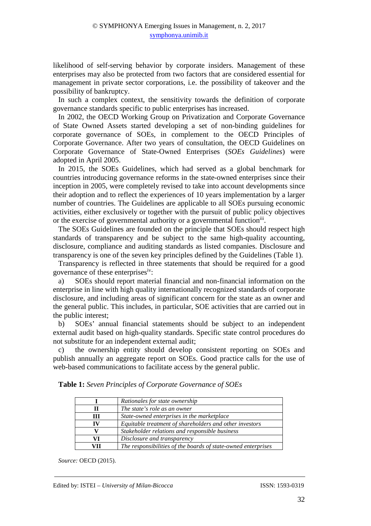likelihood of self-serving behavior by corporate insiders. Management of these enterprises may also be protected from two factors that are considered essential for management in private sector corporations, i.e. the possibility of takeover and the possibility of bankruptcy.

In such a complex context, the sensitivity towards the definition of corporate governance standards specific to public enterprises has increased.

In 2002, the OECD Working Group on Privatization and Corporate Governance of State Owned Assets started developing a set of non-binding guidelines for corporate governance of SOEs, in complement to the OECD Principles of Corporate Governance. After two years of consultation, the OECD Guidelines on Corporate Governance of State-Owned Enterprises (*SOEs Guidelines*) were adopted in April 2005.

In 2015, the SOEs Guidelines, which had served as a global benchmark for countries introducing governance reforms in the state-owned enterprises since their inception in 2005, were completely revised to take into account developments since their adoption and to reflect the experiences of 10 years implementation by a larger number of countries. The Guidelines are applicable to all SOEs pursuing economic activities, either exclusively or together with the pursuit of public policy objectives or the exercise of governmental authority or a governmental function<sup>iii</sup>.

The SOEs Guidelines are founded on the principle that SOEs should respect high standards of transparency and be subject to the same high-quality accounting, disclosure, compliance and auditing standards as listed companies. Disclosure and transparency is one of the seven key principles defined by the Guidelines (Table 1).

Transparency is reflected in three statements that should be required for a good governance of these enterprisesiv:

a) SOEs should report material financial and non-financial information on the enterprise in line with high quality internationally recognized standards of corporate disclosure, and including areas of significant concern for the state as an owner and the general public. This includes, in particular, SOE activities that are carried out in the public interest;

b) SOEs' annual financial statements should be subject to an independent external audit based on high-quality standards. Specific state control procedures do not substitute for an independent external audit;

c) the ownership entity should develop consistent reporting on SOEs and publish annually an aggregate report on SOEs. Good practice calls for the use of web-based communications to facilitate access by the general public.

|    | Rationales for state ownership                                |
|----|---------------------------------------------------------------|
| п  | The state's role as an owner                                  |
| Ш  | State-owned enterprises in the marketplace                    |
| IV | Equitable treatment of shareholders and other investors       |
|    | Stakeholder relations and responsible business                |
| VI | Disclosure and transparency                                   |
| VП | The responsibilities of the boards of state-owned enterprises |

**Table 1:** *Seven Principles of Corporate Governance of SOEs* 

*Source:* OECD (2015).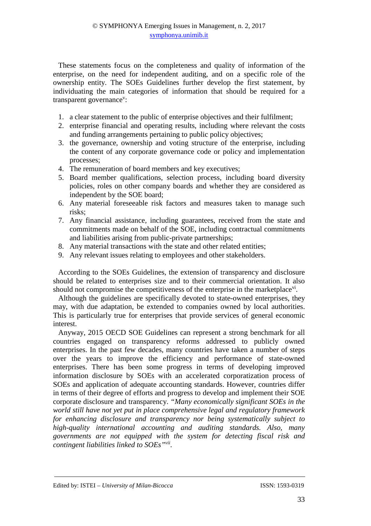These statements focus on the completeness and quality of information of the enterprise, on the need for independent auditing, and on a specific role of the ownership entity. The SOEs Guidelines further develop the first statement, by individuating the main categories of information that should be required for a transparent governance<sup>v</sup>:

- 1. a clear statement to the public of enterprise objectives and their fulfilment;
- 2. enterprise financial and operating results, including where relevant the costs and funding arrangements pertaining to public policy objectives;
- 3. the governance, ownership and voting structure of the enterprise, including the content of any corporate governance code or policy and implementation processes;
- 4. The remuneration of board members and key executives;
- 5. Board member qualifications, selection process, including board diversity policies, roles on other company boards and whether they are considered as independent by the SOE board;
- 6. Any material foreseeable risk factors and measures taken to manage such risks;
- 7. Any financial assistance, including guarantees, received from the state and commitments made on behalf of the SOE, including contractual commitments and liabilities arising from public-private partnerships;
- 8. Any material transactions with the state and other related entities;
- 9. Any relevant issues relating to employees and other stakeholders.

According to the SOEs Guidelines, the extension of transparency and disclosure should be related to enterprises size and to their commercial orientation. It also should not compromise the competitiveness of the enterprise in the marketplace<sup>vi</sup>.

Although the guidelines are specifically devoted to state-owned enterprises, they may, with due adaptation, be extended to companies owned by local authorities. This is particularly true for enterprises that provide services of general economic interest.

Anyway, 2015 OECD SOE Guidelines can represent a strong benchmark for all countries engaged on transparency reforms addressed to publicly owned enterprises. In the past few decades, many countries have taken a number of steps over the years to improve the efficiency and performance of state-owned enterprises. There has been some progress in terms of developing improved information disclosure by SOEs with an accelerated corporatization process of SOEs and application of adequate accounting standards. However, countries differ in terms of their degree of efforts and progress to develop and implement their SOE corporate disclosure and transparency. *"Many economically significant SOEs in the world still have not yet put in place comprehensive legal and regulatory framework for enhancing disclosure and transparency nor being systematically subject to high-quality international accounting and auditing standards. Also, many governments are not equipped with the system for detecting fiscal risk and contingent liabilities linked to SOEs"vii .*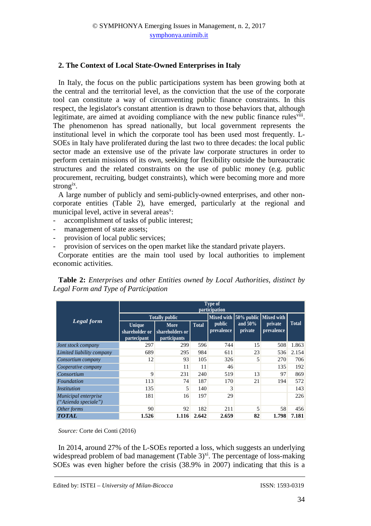## **2. The Context of Local State-Owned Enterprises in Italy**

In Italy, the focus on the public participations system has been growing both at the central and the territorial level, as the conviction that the use of the corporate tool can constitute a way of circumventing public finance constraints. In this respect, the legislator's constant attention is drawn to those behaviors that, although legitimate, are aimed at avoiding compliance with the new public finance rules<sup>viii</sup>. The phenomenon has spread nationally, but local government represents the institutional level in which the corporate tool has been used most frequently. L-SOEs in Italy have proliferated during the last two to three decades: the local public sector made an extensive use of the private law corporate structures in order to perform certain missions of its own, seeking for flexibility outside the bureaucratic structures and the related constraints on the use of public money (e.g. public procurement, recruiting, budget constraints), which were becoming more and more strong<sup>ix</sup>.

A large number of publicly and semi-publicly-owned enterprises, and other noncorporate entities (Table 2), have emerged, particularly at the regional and municipal level, active in several areas<sup>x</sup>:

- accomplishment of tasks of public interest;
- management of state assets;
- provision of local public services;
- provision of services on the open market like the standard private players.

Corporate entities are the main tool used by local authorities to implement economic activities.

**Table 2:** *Enterprises and other Entities owned by Local Authorities, distinct by Legal Form and Type of Participation* 

|                                              | <b>Type of</b><br>participation                |                                                |              |                       |                       |                       |              |  |  |
|----------------------------------------------|------------------------------------------------|------------------------------------------------|--------------|-----------------------|-----------------------|-----------------------|--------------|--|--|
|                                              | <b>Totally public</b>                          | <b>Mixed with</b>                              |              | 50% public Mixed with |                       |                       |              |  |  |
| <b>Legal</b> form                            | <b>Unique</b><br>shareholder or<br>partecipant | More<br>shareholders or<br><i>participants</i> | <b>Total</b> | public<br>prevalence  | and $50\%$<br>private | private<br>prevalence | <b>Total</b> |  |  |
| Jont stock company                           | 297                                            | 299                                            | 596          | 744                   | 15                    | 508                   | 1.863        |  |  |
| Limited liability company                    | 689                                            | 295                                            | 984          | 611                   | 23                    | 536                   | 2.154        |  |  |
| Consortium company                           | 12                                             | 93                                             | 105          | 326                   | 5                     | <b>270</b>            | 706          |  |  |
| Cooperative company                          |                                                | 11                                             | 11           | 46                    |                       | 135                   | 192          |  |  |
| Consortium                                   | 9                                              | 231                                            | 240          | 519                   | 13                    | 97                    | 869          |  |  |
| Foundation                                   | 113                                            | 74                                             | 187          | 170                   | 21                    | 194                   | 572          |  |  |
| <i>Institution</i>                           | 135                                            | 5                                              | 140          | 3                     |                       |                       | 143          |  |  |
| Municipal enterprise<br>("Azienda speciale") | 181                                            | 16                                             | 197          | 29                    |                       |                       | 226          |  |  |
| Other forms                                  | 90                                             | 92                                             | 182          | 211                   | 5                     | 58                    | 456          |  |  |
| <b>TOTAL</b>                                 | 1.526                                          | 1.116                                          | 2.642        | 2.659                 | 82                    | 1.798                 | 7.181        |  |  |

*Source:* Corte dei Conti (2016)

In 2014, around 27% of the L-SOEs reported a loss, which suggests an underlying widespread problem of bad management (Table  $3^{xi}$ ). The percentage of loss-making SOEs was even higher before the crisis (38.9% in 2007) indicating that this is a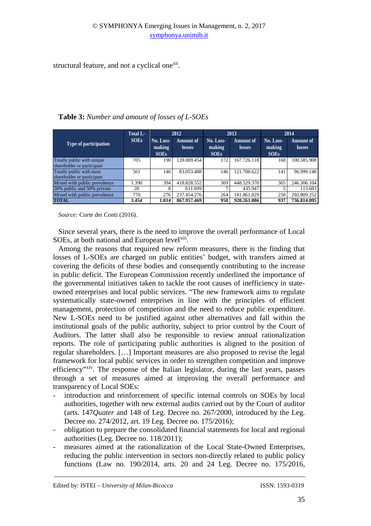structural feature, and not a cyclical one<sup>xii</sup>.

|                                                          | Total L-    | 2012                               |                            |                                    | 2013                | 2014                               |                            |
|----------------------------------------------------------|-------------|------------------------------------|----------------------------|------------------------------------|---------------------|------------------------------------|----------------------------|
| <b>Type of participation</b>                             | <b>SOEs</b> | No. Loss-<br>making<br><b>SOEs</b> | Amount of<br><b>losses</b> | No. Loss-<br>making<br><b>SOEs</b> | Amount of<br>losses | No. Loss-<br>making<br><b>SOEs</b> | <b>Amount of</b><br>losses |
| Totally public with unique<br>shareholder or participant | 705         | 190                                | 128.009.454                | 172                                | 167.726.118         | 168                                | 100.585.908                |
| Totally public with more<br>shareholder or participant   | 561         | 146                                | 83.053.488                 | 146                                | 121.708.622         | 141                                | 96.999.148                 |
| Mixed with public prevalence                             | 1.390       | 394                                | 418.828.552                | 369                                | 448.529.370         | 365                                | 246.306.104                |
| 50% public and 50% private                               | 28          |                                    | 611.699                    |                                    | 435.947             |                                    | 113.683                    |
| Mixed with public prevalence                             | 770         | 276                                | 237.454.276                | 264                                | 181.861.029         | 258                                | 292.809.252                |
| <b>TOTAL</b>                                             | 3.454       | 1.014                              | 867.957.469                | 958                                | 920.261.086         | 937                                | 736.814.095                |

**Table 3:** *Number and amount of losses of L-SOEs* 

*Source:* Corte dei Conti (2016).

Since several years, there is the need to improve the overall performance of Local SOEs, at both national and European level<sup>xiii</sup>.

Among the reasons that required new reform measures, there is the finding that losses of L-SOEs are charged on public entities' budget, with transfers aimed at covering the deficits of these bodies and consequently contributing to the increase in public deficit. The European Commission recently underlined the importance of the governmental initiatives taken to tackle the root causes of inefficiency in stateowned enterprises and local public services. "The new framework aims to regulate systematically state-owned enterprises in line with the principles of efficient management, protection of competition and the need to reduce public expenditure. New L-SOEs need to be justified against other alternatives and fall within the institutional goals of the public authority, subject to prior control by the Court of Auditors. The latter shall also be responsible to review annual rationalization reports. The role of participating public authorities is aligned to the position of regular shareholders. […] Important measures are also proposed to revise the legal framework for local public services in order to strengthen competition and improve efficiency"xiv. The response of the Italian legislator, during the last years, passes through a set of measures aimed at improving the overall performance and transparency of Local SOEs:

- introduction and reinforcement of specific internal controls on SOEs by local authorities, together with new external audits carried out by the Court of auditor (arts. 147*Quater* and 148 of Leg. Decree no. 267/2000, introduced by the Leg. Decree no. 274/2012, art. 19 Leg. Decree no. 175/2016);
- obligation to prepare the consolidated financial statements for local and regional authorities (Leg. Decree no. 118/2011);
- measures aimed at the rationalization of the Local State-Owned Enterprises, reducing the public intervention in sectors non-directly related to public policy functions (Law no. 190/2014, arts. 20 and 24 Leg. Decree no. 175/2016,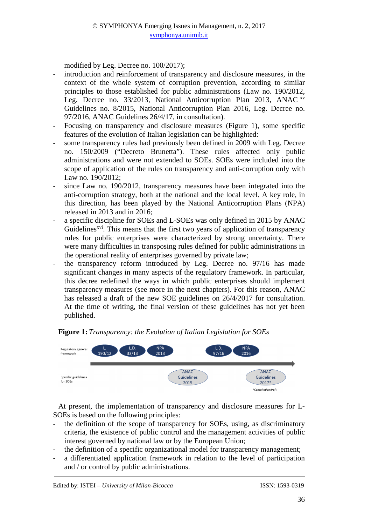modified by Leg. Decree no. 100/2017);

- introduction and reinforcement of transparency and disclosure measures, in the context of the whole system of corruption prevention, according to similar principles to those established for public administrations (Law no. 190/2012, Leg. Decree no. 33/2013, National Anticorruption Plan 2013, ANAC XV Guidelines no. 8/2015, National Anticorruption Plan 2016, Leg. Decree no. 97/2016, ANAC Guidelines 26/4/17, in consultation).
- Focusing on transparency and disclosure measures (Figure 1), some specific features of the evolution of Italian legislation can be highlighted:
- some transparency rules had previously been defined in 2009 with Leg. Decree no. 150/2009 ("Decreto Brunetta"). These rules affected only public administrations and were not extended to SOEs. SOEs were included into the scope of application of the rules on transparency and anti-corruption only with Law no. 190/2012;
- since Law no. 190/2012, transparency measures have been integrated into the anti-corruption strategy, both at the national and the local level. A key role, in this direction, has been played by the National Anticorruption Plans (NPA) released in 2013 and in 2016;
- a specific discipline for SOEs and L-SOEs was only defined in 2015 by ANAC Guidelines<sup>xvi</sup>. This means that the first two vears of application of transparency rules for public enterprises were characterized by strong uncertainty. There were many difficulties in transposing rules defined for public administrations in the operational reality of enterprises governed by private law;
- the transparency reform introduced by Leg. Decree no. 97/16 has made significant changes in many aspects of the regulatory framework. In particular, this decree redefined the ways in which public enterprises should implement transparency measures (see more in the next chapters). For this reason, ANAC has released a draft of the new SOE guidelines on 26/4/2017 for consultation. At the time of writing, the final version of these guidelines has not yet been published.

# **Figure 1:** *Transparency: the Evolution of Italian Legislation for SOEs*



At present, the implementation of transparency and disclosure measures for L-SOEs is based on the following principles:

- the definition of the scope of transparency for SOEs, using, as discriminatory criteria, the existence of public control and the management activities of public interest governed by national law or by the European Union;
- the definition of a specific organizational model for transparency management;
- a differentiated application framework in relation to the level of participation and / or control by public administrations.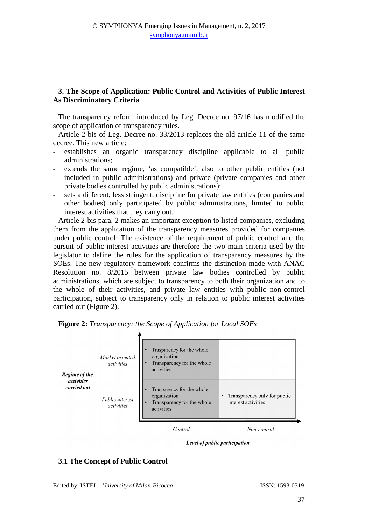# **3. The Scope of Application: Public Control and Activities of Public Interest As Discriminatory Criteria**

The transparency reform introduced by Leg. Decree no. 97/16 has modified the scope of application of transparency rules.

Article 2-bis of Leg. Decree no. 33/2013 replaces the old article 11 of the same decree. This new article:

- establishes an organic transparency discipline applicable to all public administrations;
- extends the same regime, 'as compatible', also to other public entities (not included in public administrations) and private (private companies and other private bodies controlled by public administrations);
- sets a different, less stringent, discipline for private law entities (companies and other bodies) only participated by public administrations, limited to public interest activities that they carry out.

Article 2-bis para. 2 makes an important exception to listed companies, excluding them from the application of the transparency measures provided for companies under public control. The existence of the requirement of public control and the pursuit of public interest activities are therefore the two main criteria used by the legislator to define the rules for the application of transparency measures by the SOEs. The new regulatory framework confirms the distinction made with ANAC Resolution no. 8/2015 between private law bodies controlled by public administrations, which are subject to transparency to both their organization and to the whole of their activities, and private law entities with public non-control participation, subject to transparency only in relation to public interest activities carried out (Figure 2).



**Figure 2:** *Transparency: the Scope of Application for Local SOEs*

Level of public participation

#### **3.1 The Concept of Public Control**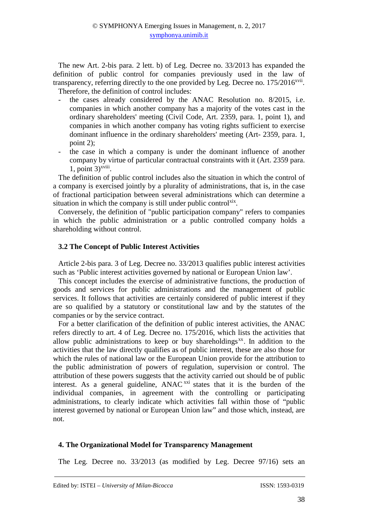The new Art. 2-bis para. 2 lett. b) of Leg. Decree no. 33/2013 has expanded the definition of public control for companies previously used in the law of transparency, referring directly to the one provided by Leg. Decree no.  $175/2016$ <sup>xvii</sup>. Therefore, the definition of control includes:

- the cases already considered by the ANAC Resolution no. 8/2015, i.e. companies in which another company has a majority of the votes cast in the ordinary shareholders' meeting (Civil Code, Art. 2359, para. 1, point 1), and companies in which another company has voting rights sufficient to exercise dominant influence in the ordinary shareholders' meeting (Art- 2359, para. 1, point 2);
- the case in which a company is under the dominant influence of another company by virtue of particular contractual constraints with it (Art. 2359 para.  $1$ , point  $3$ <sup>xviii</sup>.

The definition of public control includes also the situation in which the control of a company is exercised jointly by a plurality of administrations, that is, in the case of fractional participation between several administrations which can determine a situation in which the company is still under public control<sup>xix</sup>.

Conversely, the definition of "public participation company" refers to companies in which the public administration or a public controlled company holds a shareholding without control.

# **3.2 The Concept of Public Interest Activities**

Article 2-bis para. 3 of Leg. Decree no. 33/2013 qualifies public interest activities such as 'Public interest activities governed by national or European Union law'.

This concept includes the exercise of administrative functions, the production of goods and services for public administrations and the management of public services. It follows that activities are certainly considered of public interest if they are so qualified by a statutory or constitutional law and by the statutes of the companies or by the service contract.

For a better clarification of the definition of public interest activities, the ANAC refers directly to art. 4 of Leg. Decree no. 175/2016, which lists the activities that allow public administrations to keep or buy shareholdings $^{xx}$ . In addition to the activities that the law directly qualifies as of public interest, these are also those for which the rules of national law or the European Union provide for the attribution to the public administration of powers of regulation, supervision or control. The attribution of these powers suggests that the activity carried out should be of public interest. As a general guideline,  $ANAC^{xxi}$  states that it is the burden of the individual companies, in agreement with the controlling or participating administrations, to clearly indicate which activities fall within those of "public interest governed by national or European Union law" and those which, instead, are not.

### **4. The Organizational Model for Transparency Management**

The Leg. Decree no. 33/2013 (as modified by Leg. Decree 97/16) sets an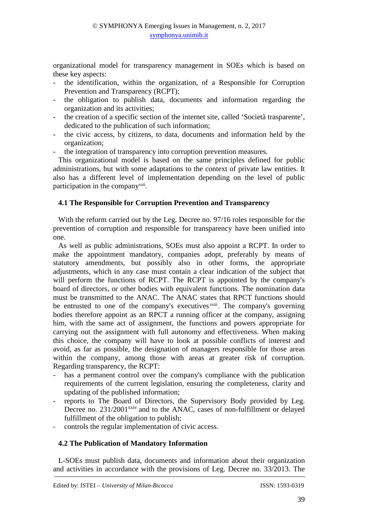organizational model for transparency management in SOEs which is based on these key aspects:

- the identification, within the organization, of a Responsible for Corruption Prevention and Transparency (RCPT);
- the obligation to publish data, documents and information regarding the organization and its activities;
- the creation of a specific section of the internet site, called 'Società trasparente', dedicated to the publication of such information;
- the civic access, by citizens, to data, documents and information held by the organization;
- the integration of transparency into corruption prevention measures.

This organizational model is based on the same principles defined for public administrations, but with some adaptations to the context of private law entities. It also has a different level of implementation depending on the level of public participation in the company<sup>xxii</sup>.

# **4.1 The Responsible for Corruption Prevention and Transparency**

With the reform carried out by the Leg. Decree no. 97/16 roles responsible for the prevention of corruption and responsible for transparency have been unified into one.

As well as public administrations, SOEs must also appoint a RCPT. In order to make the appointment mandatory, companies adopt, preferably by means of statutory amendments, but possibly also in other forms, the appropriate adjustments, which in any case must contain a clear indication of the subject that will perform the functions of RCPT. The RCPT is appointed by the company's board of directors, or other bodies with equivalent functions. The nomination data must be transmitted to the ANAC. The ANAC states that RPCT functions should be entrusted to one of the company's executives xxiii. The company's governing bodies therefore appoint as an RPCT a running officer at the company, assigning him, with the same act of assignment, the functions and powers appropriate for carrying out the assignment with full autonomy and effectiveness. When making this choice, the company will have to look at possible conflicts of interest and avoid, as far as possible, the designation of managers responsible for those areas within the company, among those with areas at greater risk of corruption. Regarding transparency, the RCPT:

- has a permanent control over the company's compliance with the publication requirements of the current legislation, ensuring the completeness, clarity and updating of the published information;
- reports to The Board of Directors, the Supervisory Body provided by Leg. Decree no.  $231/2001^{xxiv}$  and to the ANAC, cases of non-fulfillment or delayed fulfillment of the obligation to publish;
- controls the regular implementation of civic access.

### **4.2 The Publication of Mandatory Information**

L-SOEs must publish data, documents and information about their organization and activities in accordance with the provisions of Leg. Decree no. 33/2013. The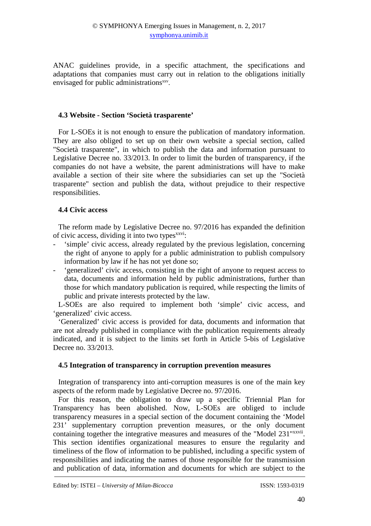ANAC guidelines provide, in a specific attachment, the specifications and adaptations that companies must carry out in relation to the obligations initially envisaged for public administrations<sup>xxv</sup>.

#### **4.3 Website - Section 'Società trasparente'**

For L-SOEs it is not enough to ensure the publication of mandatory information. They are also obliged to set up on their own website a special section, called "Società trasparente", in which to publish the data and information pursuant to Legislative Decree no. 33/2013. In order to limit the burden of transparency, if the companies do not have a website, the parent administrations will have to make available a section of their site where the subsidiaries can set up the "Società trasparente" section and publish the data, without prejudice to their respective responsibilities.

#### **4.4 Civic access**

The reform made by Legislative Decree no. 97/2016 has expanded the definition of civic access, dividing it into two types<sup>xxvi</sup>:

- 'simple' civic access, already regulated by the previous legislation, concerning the right of anyone to apply for a public administration to publish compulsory information by law if he has not yet done so;
- 'generalized' civic access, consisting in the right of anyone to request access to data, documents and information held by public administrations, further than those for which mandatory publication is required, while respecting the limits of public and private interests protected by the law.

L-SOEs are also required to implement both 'simple' civic access, and 'generalized' civic access.

'Generalized' civic access is provided for data, documents and information that are not already published in compliance with the publication requirements already indicated, and it is subject to the limits set forth in Article 5-bis of Legislative Decree no. 33/2013.

#### **4.5 Integration of transparency in corruption prevention measures**

Integration of transparency into anti-corruption measures is one of the main key aspects of the reform made by Legislative Decree no. 97/2016.

For this reason, the obligation to draw up a specific Triennial Plan for Transparency has been abolished. Now, L-SOEs are obliged to include transparency measures in a special section of the document containing the 'Model 231' supplementary corruption prevention measures, or the only document containing together the integrative measures and measures of the "Model 231"<sup>xxvii</sup>. This section identifies organizational measures to ensure the regularity and timeliness of the flow of information to be published, including a specific system of responsibilities and indicating the names of those responsible for the transmission and publication of data, information and documents for which are subject to the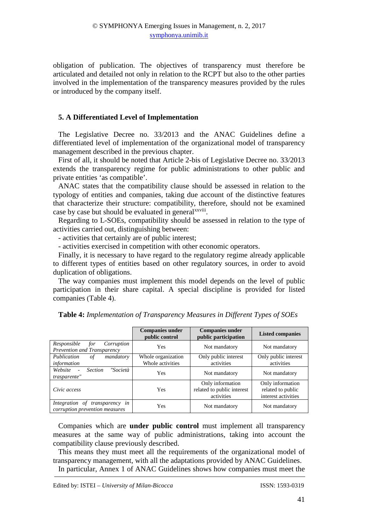obligation of publication. The objectives of transparency must therefore be articulated and detailed not only in relation to the RCPT but also to the other parties involved in the implementation of the transparency measures provided by the rules or introduced by the company itself.

#### **5. A Differentiated Level of Implementation**

The Legislative Decree no. 33/2013 and the ANAC Guidelines define a differentiated level of implementation of the organizational model of transparency management described in the previous chapter.

First of all, it should be noted that Article 2-bis of Legislative Decree no. 33/2013 extends the transparency regime for public administrations to other public and private entities 'as compatible'.

ANAC states that the compatibility clause should be assessed in relation to the typology of entities and companies, taking due account of the distinctive features that characterize their structure: compatibility, therefore, should not be examined case by case but should be evaluated in general<sup>xxviii</sup>.

Regarding to L-SOEs, compatibility should be assessed in relation to the type of activities carried out, distinguishing between:

- activities that certainly are of public interest;

- activities exercised in competition with other economic operators.

Finally, it is necessary to have regard to the regulatory regime already applicable to different types of entities based on other regulatory sources, in order to avoid duplication of obligations.

The way companies must implement this model depends on the level of public participation in their share capital. A special discipline is provided for listed companies (Table 4).

|                                                                  | <b>Companies under</b><br>public control | <b>Companies under</b><br>public participation               | <b>Listed companies</b>                                      |
|------------------------------------------------------------------|------------------------------------------|--------------------------------------------------------------|--------------------------------------------------------------|
| Responsible<br>Corruption<br>for<br>Prevention and Transparency  | Yes                                      | Not mandatory                                                | Not mandatory                                                |
| Publication<br>οf<br>mandatory<br>information                    | Whole organization<br>Whole activities   | Only public interest<br>activities                           | Only public interest<br>activities                           |
| "Società<br>Website<br><b>Section</b><br>$\sim$<br>trasparente"  | Yes                                      | Not mandatory                                                | Not mandatory                                                |
| Civic access                                                     | <b>Yes</b>                               | Only information<br>related to public interest<br>activities | Only information<br>related to public<br>interest activities |
| Integration of transparency in<br>corruption prevention measures | Yes                                      | Not mandatory                                                | Not mandatory                                                |

**Table 4:** *Implementation of Transparency Measures in Different Types of SOEs* 

Companies which are **under public control** must implement all transparency measures at the same way of public administrations, taking into account the compatibility clause previously described.

This means they must meet all the requirements of the organizational model of transparency management, with all the adaptations provided by ANAC Guidelines.

In particular, Annex 1 of ANAC Guidelines shows how companies must meet the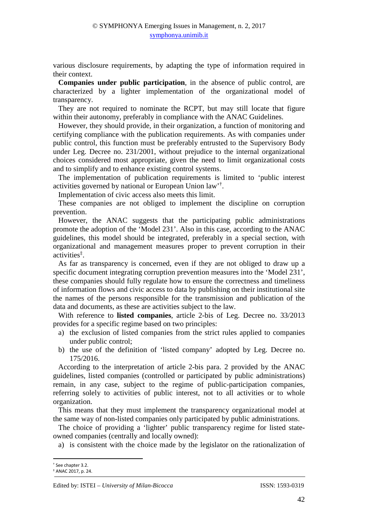various disclosure requirements, by adapting the type of information required in their context.

**Companies under public participation**, in the absence of public control, are characterized by a lighter implementation of the organizational model of transparency.

They are not required to nominate the RCPT, but may still locate that figure within their autonomy, preferably in compliance with the ANAC Guidelines.

However, they should provide, in their organization, a function of monitoring and certifying compliance with the publication requirements. As with companies under public control, this function must be preferably entrusted to the Supervisory Body under Leg. Decree no. 231/2001, without prejudice to the internal organizational choices considered most appropriate, given the need to limit organizational costs and to simplify and to enhance existing control systems.

The implementation of publication requirements is limited to 'public interest activities governed by national or European Union law'† .

Implementation of civic access also meets this limit.

These companies are not obliged to implement the discipline on corruption prevention.

However, the ANAC suggests that the participating public administrations promote the adoption of the 'Model 231'. Also in this case, according to the ANAC guidelines, this model should be integrated, preferably in a special section, with organizational and management measures proper to prevent corruption in their activities‡ .

As far as transparency is concerned, even if they are not obliged to draw up a specific document integrating corruption prevention measures into the 'Model 231', these companies should fully regulate how to ensure the correctness and timeliness of information flows and civic access to data by publishing on their institutional site the names of the persons responsible for the transmission and publication of the data and documents, as these are activities subject to the law.

With reference to **listed companies**, article 2-bis of Leg. Decree no. 33/2013 provides for a specific regime based on two principles:

- a) the exclusion of listed companies from the strict rules applied to companies under public control;
- b) the use of the definition of 'listed company' adopted by Leg. Decree no. 175/2016.

According to the interpretation of article 2-bis para. 2 provided by the ANAC guidelines, listed companies (controlled or participated by public administrations) remain, in any case, subject to the regime of public-participation companies, referring solely to activities of public interest, not to all activities or to whole organization.

This means that they must implement the transparency organizational model at the same way of non-listed companies only participated by public administrations.

The choice of providing a 'lighter' public transparency regime for listed stateowned companies (centrally and locally owned):

a) is consistent with the choice made by the legislator on the rationalization of

 $\overline{\phantom{a}}$ 

<sup>†</sup> See chapter 3.2.

<sup>‡</sup> ANAC 2017, p. 24.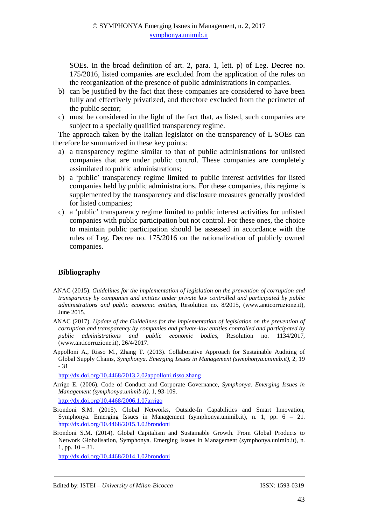SOEs. In the broad definition of art. 2, para. 1, lett. p) of Leg. Decree no. 175/2016, listed companies are excluded from the application of the rules on the reorganization of the presence of public administrations in companies.

- b) can be justified by the fact that these companies are considered to have been fully and effectively privatized, and therefore excluded from the perimeter of the public sector;
- c) must be considered in the light of the fact that, as listed, such companies are subject to a specially qualified transparency regime.

The approach taken by the Italian legislator on the transparency of L-SOEs can therefore be summarized in these key points:

- a) a transparency regime similar to that of public administrations for unlisted companies that are under public control. These companies are completely assimilated to public administrations;
- b) a 'public' transparency regime limited to public interest activities for listed companies held by public administrations. For these companies, this regime is supplemented by the transparency and disclosure measures generally provided for listed companies;
- c) a 'public' transparency regime limited to public interest activities for unlisted companies with public participation but not control. For these ones, the choice to maintain public participation should be assessed in accordance with the rules of Leg. Decree no. 175/2016 on the rationalization of publicly owned companies.

### **Bibliography**

- ANAC (2015). *Guidelines for the implementation of legislation on the prevention of corruption and transparency by companies and entities under private law controlled and participated by public administrations and public economic entities*, Resolution no. 8/2015, (www.anticorruzione.it), June 2015.
- ANAC (2017). *Update of the Guidelines for the implementation of legislation on the prevention of corruption and transparency by companies and private-law entities controlled and participated by public administrations and public economic bodies*, Resolution no. 1134/2017, (www.anticorruzione.it), 26/4/2017.
- Appolloni A., Risso M., Zhang T. (2013). Collaborative Approach for Sustainable Auditing of Global Supply Chains*, Symphonya. Emerging Issues in Management (symphonya.unimib.it)*, 2, 19 - 31

http://dx.doi.org/10.4468/2013.2.02appolloni.risso.zhang

Arrigo E. (2006). Code of Conduct and Corporate Governance, *Symphonya. Emerging Issues in Management (symphonya.unimib.it)*, 1, 93-109.

http://dx.doi.org/10.4468/2006.1.07arrigo

- Brondoni S.M. (2015). Global Networks, Outside-In Capabilities and Smart Innovation, Symphonya. Emerging Issues in Management (symphonya.unimib.it), n. 1, pp. 6 – 21. http://dx.doi.org/10.4468/2015.1.02brondoni
- Brondoni S.M. (2014). Global Capitalism and Sustainable Growth. From Global Products to Network Globalisation, Symphonya. Emerging Issues in Management (symphonya.unimib.it), n. 1, pp. 10 – 31.

http://dx.doi.org/10.4468/2014.1.02brondoni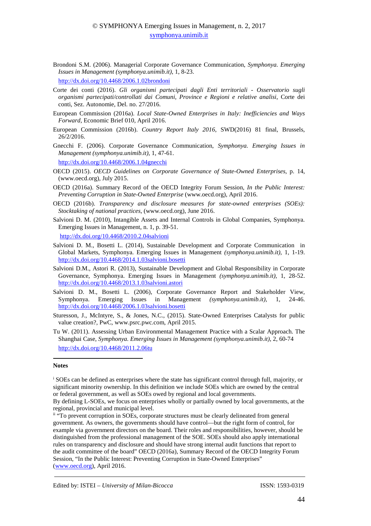Brondoni S.M. (2006). Managerial Corporate Governance Communication, *Symphonya. Emerging Issues in Management (symphonya.unimib.it)*, 1, 8-23.

http://dx.doi.org/10.4468/2006.1.02brondoni

- Corte dei conti (2016). *Gli organismi partecipati dagli Enti territoriali Osservatorio sugli organismi partecipati/controllati dai Comuni, Province e Regioni e relative analisi*, Corte dei conti, Sez. Autonomie, Del. no. 27/2016.
- European Commission (2016a). *Local State-Owned Enterprises in Italy: Inefficiencies and Ways Forward*, Economic Brief 010, April 2016.
- European Commission (2016b). *Country Report Italy 2016*, SWD(2016) 81 final, Brussels, 26/2/2016.
- Gnecchi F. (2006). Corporate Governance Communication, *Symphonya. Emerging Issues in Management (symphonya.unimib.it)*, 1, 47-61.

http://dx.doi.org/10.4468/2006.1.04gnecchi

- OECD (2015). *OECD Guidelines on Corporate Governance of State-Owned Enterprises*, p. 14, (www.oecd.org), July 2015.
- OECD (2016a). Summary Record of the OECD Integrity Forum Session, *In the Public Interest: Preventing Corruption in State-Owned Enterprise* (www.oecd.org), April 2016.
- OECD (2016b). *Transparency and disclosure measures for state-owned enterprises (SOEs): Stocktaking of national practices*, (www.oecd.org), June 2016.
- Salvioni D. M. (2010), Intangible Assets and Internal Controls in Global Companies, Symphonya. Emerging Issues in Management, n. 1, p. 39-51. http://dx.doi.org/10.4468/2010.2.04salvioni
- Salvioni D. M., Bosetti L. (2014), Sustainable Development and Corporate Communication in Global Markets, Symphonya. Emerging Issues in Management *(symphonya.unimib.it)*, 1, 1-19. http://dx.doi.org/10.4468/2014.1.03salvioni.bosetti
- Salvioni D.M., Astori R. (2013), Sustainable Development and Global Responsibility in Corporate Governance, Symphonya. Emerging Issues in Management *(symphonya.unimib.it),* 1, 28-52. http://dx.doi.org/10.4468/2013.1.03salvioni.astori
- Salvioni D. M., Bosetti L. (2006), Corporate Governance Report and Stakeholder View, Symphonya. Emerging Issues in Management *(symphonya.unimib.it),* 1, 24-46. http://dx.doi.org/10.4468/2006.1.03salvioni.bosetti
- Sturesson, J., McIntyre, S., & Jones, N.C., (2015). State-Owned Enterprises Catalysts for public value creation?, PwC, www.psrc.pwc.com, April 2015.
- Tu W. (2011). Assessing Urban Environmental Management Practice with a Scalar Approach. The Shanghai Case, *Symphonya. Emerging Issues in Management (symphonya.unimib.it)*, 2, 60-74 http://dx.doi.org/10.4468/2011.2.06tu

#### **Notes**

l

<sup>&</sup>lt;sup>i</sup> SOEs can be defined as enterprises where the state has significant control through full, majority, or significant minority ownership. In this definition we include SOEs which are owned by the central or federal government, as well as SOEs owed by regional and local governments.

By defining L-SOEs, we focus on enterprises wholly or partially owned by local governments, at the regional, provincial and municipal level.

<sup>&</sup>lt;sup>ii</sup> "To prevent corruption in SOEs, corporate structures must be clearly delineated from general government. As owners, the governments should have control—but the right form of control, for example via government directors on the board. Their roles and responsibilities, however, should be distinguished from the professional management of the SOE. SOEs should also apply international rules on transparency and disclosure and should have strong internal audit functions that report to the audit committee of the board" OECD (2016a), Summary Record of the OECD Integrity Forum Session, "In the Public Interest: Preventing Corruption in State-Owned Enterprises" (www.oecd.org), April 2016.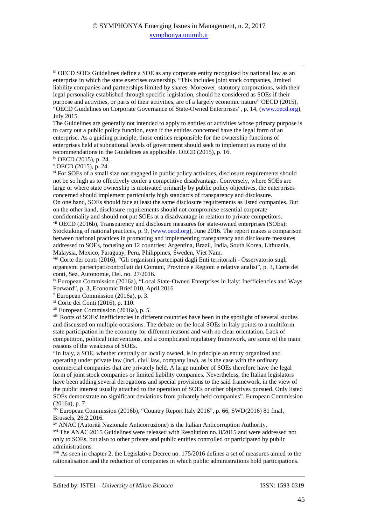### © SYMPHONYA Emerging Issues in Management, n. 2, 2017 symphonya.unimib.it

iii OECD SOEs Guidelines define a SOE as any corporate entity recognised by national law as an enterprise in which the state exercises ownership. "This includes joint stock companies, limited liability companies and partnerships limited by shares. Moreover, statutory corporations, with their legal personality established through specific legislation, should be considered as SOEs if their purpose and activities, or parts of their activities, are of a largely economic nature" OECD (2015), "OECD Guidelines on Corporate Governance of State-Owned Enterprises", p. 14, (www.oecd.org), July 2015.

The Guidelines are generally not intended to apply to entities or activities whose primary purpose is to carry out a public policy function, even if the entities concerned have the legal form of an enterprise. As a guiding principle, those entities responsible for the ownership functions of enterprises held at subnational levels of government should seek to implement as many of the recommendations in the Guidelines as applicable. OECD (2015), p. 16.

iv OECD (2015), p. 24.

<u>.</u>

v OECD (2015), p. 24.

vi For SOEs of a small size not engaged in public policy activities, disclosure requirements should not be so high as to effectively confer a competitive disadvantage. Conversely, where SOEs are large or where state ownership is motivated primarily by public policy objectives, the enterprises concerned should implement particularly high standards of transparency and disclosure. On one hand, SOEs should face at least the same disclosure requirements as listed companies. But on the other hand, disclosure requirements should not compromise essential corporate confidentiality and should not put SOEs at a disadvantage in relation to private competitors. vii OECD (2016b), Transparency and disclosure measures for state-owned enterprises (SOEs): Stocktaking of national practices, p. 9, (www.oecd.org), June 2016. The report makes a comparison between national practices in promoting and implementing transparency and disclosure measures addressed to SOEs, focusing on 12 countries: Argentina, Brazil, India, South Korea, Lithuania,

Malaysia, Mexico, Paraguay, Peru, Philippines, Sweden, Viet Nam.

viii Corte dei conti (2016), "Gli organismi partecipati dagli Enti territoriali - Osservatorio sugli organismi partecipati/controllati dai Comuni, Province e Regioni e relative analisi", p. 3, Corte dei conti, Sez. Autonomie, Del. no. 27/2016.

ix European Commission (2016a), "Local State-Owned Enterprises in Italy: Inefficiencies and Ways Forward", p. 3, Economic Brief 010, April 2016

x European Commission (2016a), p. 3.

xi Corte dei Conti (2016), p. 110.

xii European Commission (2016a), p. 5.

xiii Roots of SOEs' inefficiencies in different countries have been in the spotlight of several studies and discussed on multiple occasions. The debate on the local SOEs in Italy points to a multiform state participation in the economy for different reasons and with no clear orientation. Lack of competition, political interventions, and a complicated regulatory framework, are some of the main reasons of the weakness of SOEs.

"In Italy, a SOE, whether centrally or locally owned, is in principle an entity organized and operating under private law (incl. civil law, company law), as is the case with the ordinary commercial companies that are privately held. A large number of SOEs therefore have the legal form of joint stock companies or limited liability companies. Nevertheless, the Italian legislators have been adding several derogations and special provisions to the said framework, in the view of the public interest usually attached to the operation of SOEs or other objectives pursued. Only listed SOEs demonstrate no significant deviations from privately held companies". European Commission (2016a), p. 7.

 $x$ iv European Commission (2016b), "Country Report Italy 2016", p. 66, SWD(2016) 81 final, Brussels, 26.2.2016.

xv ANAC (Autorità Nazionale Anticorruzione) is the Italian Anticorruption Authority.

xvi The ANAC 2015 Guidelines were released with Resolution no. 8/2015 and were addressed not only to SOEs, but also to other private and public entities controlled or participated by public administrations.

xvii As seen in chapter 2, the Legislative Decree no. 175/2016 defines a set of measures aimed to the rationalisation and the reduction of companies in which public administrations hold participations.